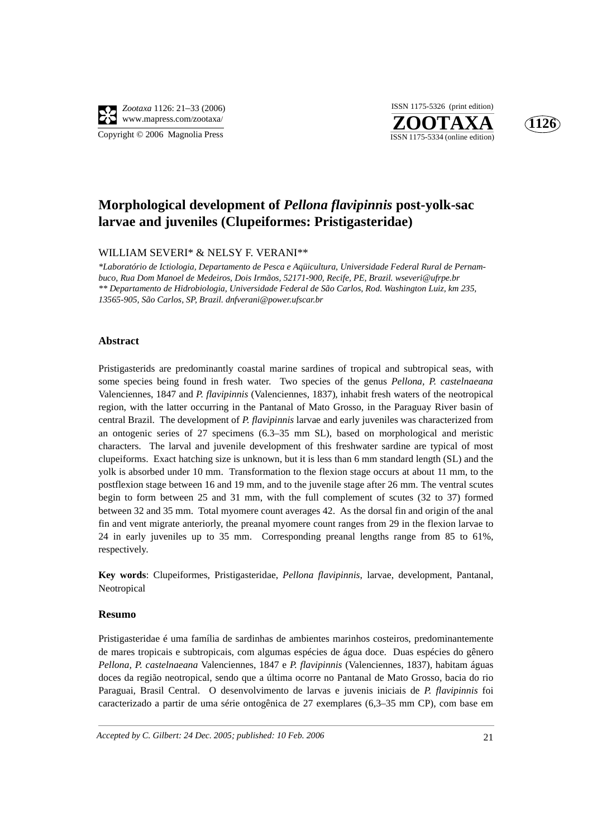

**ZOOTAXA**<br>ISSN 1175-5334 (online edition) ISSN 1175-5326 (print edition)



# **Morphological development of** *Pellona flavipinnis* **post-yolk-sac larvae and juveniles (Clupeiformes: Pristigasteridae)**

### WILLIAM SEVERI\* & NELSY F. VERANI\*\*

*\*Laboratório de Ictiologia, Departamento de Pesca e Aqüicultura, Universidade Federal Rural de Pernambuco, Rua Dom Manoel de Medeiros, Dois Irmãos, 52171-900, Recife, PE, Brazil. wseveri@ufrpe.br \*\* Departamento de Hidrobiologia, Universidade Federal de São Carlos, Rod. Washington Luiz, km 235, 13565-905, São Carlos, SP, Brazil. dnfverani@power.ufscar.br*

### **Abstract**

Pristigasterids are predominantly coastal marine sardines of tropical and subtropical seas, with some species being found in fresh water. Two species of the genus *Pellona, P. castelnaeana* Valenciennes, 1847 and *P. flavipinnis* (Valenciennes, 1837)*,* inhabit fresh waters of the neotropical region, with the latter occurring in the Pantanal of Mato Grosso, in the Paraguay River basin of central Brazil. The development of *P. flavipinnis* larvae and early juveniles was characterized from an ontogenic series of 27 specimens (6.3–35 mm SL), based on morphological and meristic characters. The larval and juvenile development of this freshwater sardine are typical of most clupeiforms. Exact hatching size is unknown, but it is less than 6 mm standard length (SL) and the yolk is absorbed under 10 mm. Transformation to the flexion stage occurs at about 11 mm, to the postflexion stage between 16 and 19 mm, and to the juvenile stage after 26 mm. The ventral scutes begin to form between 25 and 31 mm, with the full complement of scutes (32 to 37) formed between 32 and 35 mm. Total myomere count averages 42. As the dorsal fin and origin of the anal fin and vent migrate anteriorly, the preanal myomere count ranges from 29 in the flexion larvae to 24 in early juveniles up to 35 mm. Corresponding preanal lengths range from 85 to 61%, respectively.

**Key words**: Clupeiformes, Pristigasteridae, *Pellona flavipinnis*, larvae, development, Pantanal, Neotropical

### **Resumo**

Pristigasteridae é uma família de sardinhas de ambientes marinhos costeiros, predominantemente de mares tropicais e subtropicais, com algumas espécies de água doce. Duas espécies do gênero *Pellona, P. castelnaeana* Valenciennes, 1847 e *P. flavipinnis* (Valenciennes, 1837)*,* habitam águas doces da região neotropical, sendo que a última ocorre no Pantanal de Mato Grosso, bacia do rio Paraguai, Brasil Central. O desenvolvimento de larvas e juvenis iniciais de *P. flavipinnis* foi caracterizado a partir de uma série ontogênica de 27 exemplares (6,3–35 mm CP), com base em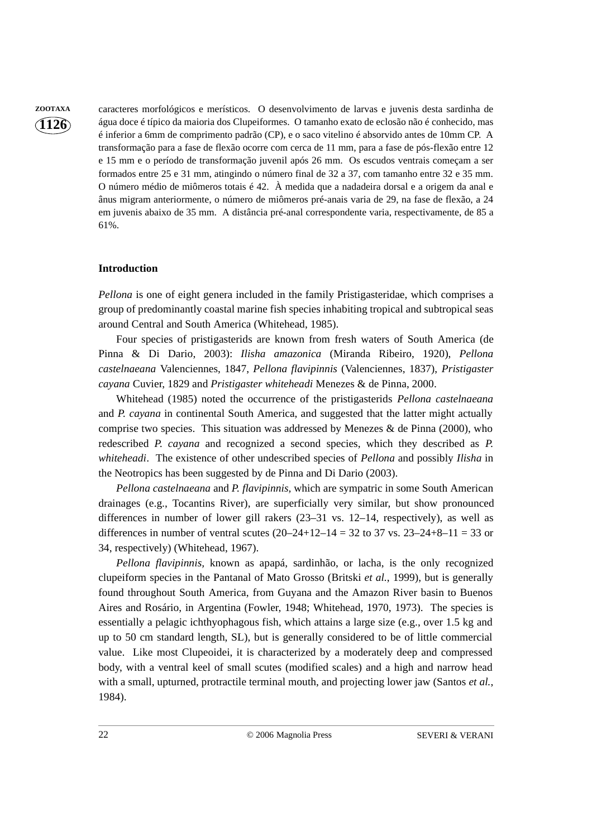**1126**

**ZOOTAXA** caracteres morfológicos e merísticos. O desenvolvimento de larvas e juvenis desta sardinha de água doce é típico da maioria dos Clupeiformes. O tamanho exato de eclosão não é conhecido, mas é inferior a 6mm de comprimento padrão (CP), e o saco vitelino é absorvido antes de 10mm CP. A transformação para a fase de flexão ocorre com cerca de 11 mm, para a fase de pós-flexão entre 12 e 15 mm e o período de transformação juvenil após 26 mm. Os escudos ventrais começam a ser formados entre 25 e 31 mm, atingindo o número final de 32 a 37, com tamanho entre 32 e 35 mm. O número médio de miômeros totais é 42. À medida que a nadadeira dorsal e a origem da anal e ânus migram anteriormente, o número de miômeros pré-anais varia de 29, na fase de flexão, a 24 em juvenis abaixo de 35 mm. A distância pré-anal correspondente varia, respectivamente, de 85 a 61%.

# **Introduction**

*Pellona* is one of eight genera included in the family Pristigasteridae, which comprises a group of predominantly coastal marine fish species inhabiting tropical and subtropical seas around Central and South America (Whitehead, 1985).

Four species of pristigasterids are known from fresh waters of South America (de Pinna & Di Dario, 2003): *Ilisha amazonica* (Miranda Ribeiro, 1920), *Pellona castelnaeana* Valenciennes, 1847, *Pellona flavipinnis* (Valenciennes, 1837), *Pristigaster cayana* Cuvier, 1829 and *Pristigaster whiteheadi* Menezes & de Pinna, 2000.

Whitehead (1985) noted the occurrence of the pristigasterids *Pellona castelnaeana* and *P. cayana* in continental South America, and suggested that the latter might actually comprise two species. This situation was addressed by Menezes  $\&$  de Pinna (2000), who redescribed *P. cayana* and recognized a second species, which they described as *P. whiteheadi*. The existence of other undescribed species of *Pellona* and possibly *Ilisha* in the Neotropics has been suggested by de Pinna and Di Dario (2003).

*Pellona castelnaeana* and *P. flavipinnis,* which are sympatric in some South American drainages (e.g., Tocantins River), are superficially very similar, but show pronounced differences in number of lower gill rakers (23–31 vs. 12–14, respectively), as well as differences in number of ventral scutes  $(20-24+12-14 = 32$  to 37 vs.  $23-24+8-11 = 33$  or 34, respectively) (Whitehead, 1967).

*Pellona flavipinnis,* known as apapá, sardinhão, or lacha, is the only recognized clupeiform species in the Pantanal of Mato Grosso (Britski *et al.*, 1999), but is generally found throughout South America, from Guyana and the Amazon River basin to Buenos Aires and Rosário, in Argentina (Fowler, 1948; Whitehead, 1970, 1973). The species is essentially a pelagic ichthyophagous fish, which attains a large size (e.g., over 1.5 kg and up to 50 cm standard length, SL), but is generally considered to be of little commercial value. Like most Clupeoidei, it is characterized by a moderately deep and compressed body, with a ventral keel of small scutes (modified scales) and a high and narrow head with a small, upturned, protractile terminal mouth, and projecting lower jaw (Santos *et al.*, 1984).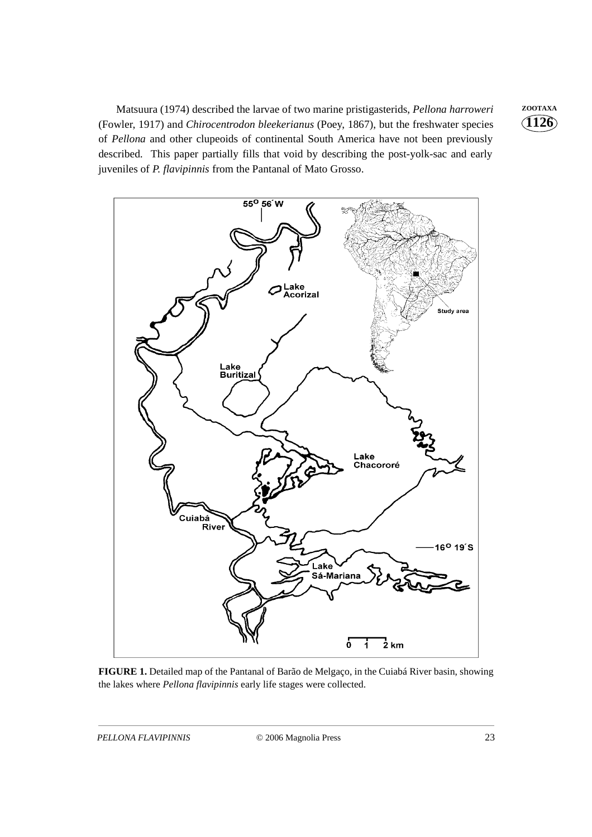Matsuura (1974) described the larvae of two marine pristigasterids, *Pellona harroweri* ZOOTAXA (Fowler, 1917) and *Chirocentrodon bleekerianus* (Poey, 1867), but the freshwater species of *Pellona* and other clupeoids of continental South America have not been previously described. This paper partially fills that void by describing the post-yolk-sac and early juveniles of *P. flavipinnis* from the Pantanal of Mato Grosso.



**FIGURE 1.** Detailed map of the Pantanal of Barão de Melgaço, in the Cuiabá River basin, showing the lakes where *Pellona flavipinnis* early life stages were collected.

**1126**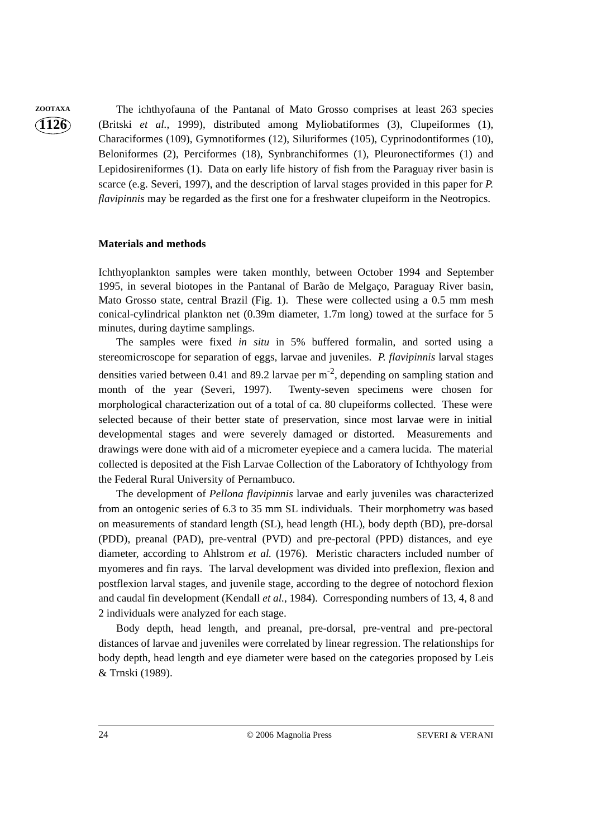**1126**

**ZOOTAXA** The ichthyofauna of the Pantanal of Mato Grosso comprises at least 263 species (Britski *et al.*, 1999), distributed among Myliobatiformes (3), Clupeiformes (1), Characiformes (109), Gymnotiformes (12), Siluriformes (105), Cyprinodontiformes (10), Beloniformes (2), Perciformes (18), Synbranchiformes (1), Pleuronectiformes (1) and Lepidosireniformes (1). Data on early life history of fish from the Paraguay river basin is scarce (e.g. Severi, 1997), and the description of larval stages provided in this paper for *P. flavipinnis* may be regarded as the first one for a freshwater clupeiform in the Neotropics.

# **Materials and methods**

Ichthyoplankton samples were taken monthly, between October 1994 and September 1995, in several biotopes in the Pantanal of Barão de Melgaço, Paraguay River basin, Mato Grosso state, central Brazil (Fig. 1). These were collected using a 0.5 mm mesh conical-cylindrical plankton net (0.39m diameter, 1.7m long) towed at the surface for 5 minutes, during daytime samplings.

The samples were fixed *in situ* in 5% buffered formalin, and sorted using a stereomicroscope for separation of eggs, larvae and juveniles. *P. flavipinnis* larval stages densities varied between 0.41 and 89.2 larvae per  $m<sup>-2</sup>$ , depending on sampling station and month of the year (Severi, 1997). Twenty-seven specimens were chosen for morphological characterization out of a total of ca. 80 clupeiforms collected. These were selected because of their better state of preservation, since most larvae were in initial developmental stages and were severely damaged or distorted. Measurements and drawings were done with aid of a micrometer eyepiece and a camera lucida. The material collected is deposited at the Fish Larvae Collection of the Laboratory of Ichthyology from the Federal Rural University of Pernambuco.

The development of *Pellona flavipinnis* larvae and early juveniles was characterized from an ontogenic series of 6.3 to 35 mm SL individuals. Their morphometry was based on measurements of standard length (SL), head length (HL), body depth (BD), pre-dorsal (PDD), preanal (PAD), pre-ventral (PVD) and pre-pectoral (PPD) distances, and eye diameter, according to Ahlstrom *et al.* (1976). Meristic characters included number of myomeres and fin rays. The larval development was divided into preflexion, flexion and postflexion larval stages, and juvenile stage, according to the degree of notochord flexion and caudal fin development (Kendall *et al.*, 1984). Corresponding numbers of 13, 4, 8 and 2 individuals were analyzed for each stage.

Body depth, head length, and preanal, pre-dorsal, pre-ventral and pre-pectoral distances of larvae and juveniles were correlated by linear regression. The relationships for body depth, head length and eye diameter were based on the categories proposed by Leis & Trnski (1989).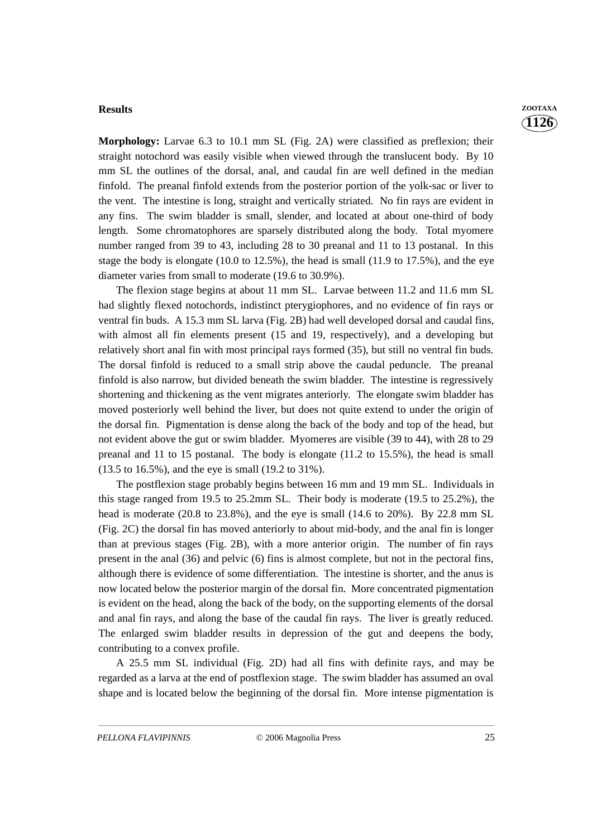#### **Results ZOOTAXA**

**Morphology:** Larvae 6.3 to 10.1 mm SL (Fig. 2A) were classified as preflexion; their straight notochord was easily visible when viewed through the translucent body. By 10 mm SL the outlines of the dorsal, anal, and caudal fin are well defined in the median finfold. The preanal finfold extends from the posterior portion of the yolk-sac or liver to the vent. The intestine is long, straight and vertically striated. No fin rays are evident in any fins. The swim bladder is small, slender, and located at about one-third of body length. Some chromatophores are sparsely distributed along the body. Total myomere number ranged from 39 to 43, including 28 to 30 preanal and 11 to 13 postanal. In this stage the body is elongate  $(10.0 \text{ to } 12.5\%)$ , the head is small  $(11.9 \text{ to } 17.5\%)$ , and the eye diameter varies from small to moderate (19.6 to 30.9%).

The flexion stage begins at about 11 mm SL. Larvae between 11.2 and 11.6 mm SL had slightly flexed notochords, indistinct pterygiophores, and no evidence of fin rays or ventral fin buds. A 15.3 mm SL larva (Fig. 2B) had well developed dorsal and caudal fins, with almost all fin elements present (15 and 19, respectively), and a developing but relatively short anal fin with most principal rays formed (35), but still no ventral fin buds. The dorsal finfold is reduced to a small strip above the caudal peduncle. The preanal finfold is also narrow, but divided beneath the swim bladder. The intestine is regressively shortening and thickening as the vent migrates anteriorly. The elongate swim bladder has moved posteriorly well behind the liver, but does not quite extend to under the origin of the dorsal fin. Pigmentation is dense along the back of the body and top of the head, but not evident above the gut or swim bladder. Myomeres are visible (39 to 44), with 28 to 29 preanal and 11 to 15 postanal. The body is elongate (11.2 to 15.5%), the head is small (13.5 to 16.5%), and the eye is small (19.2 to 31%).

The postflexion stage probably begins between 16 mm and 19 mm SL. Individuals in this stage ranged from 19.5 to 25.2mm SL. Their body is moderate (19.5 to 25.2%), the head is moderate (20.8 to 23.8%), and the eye is small (14.6 to 20%). By 22.8 mm SL (Fig. 2C) the dorsal fin has moved anteriorly to about mid-body, and the anal fin is longer than at previous stages (Fig. 2B), with a more anterior origin. The number of fin rays present in the anal (36) and pelvic (6) fins is almost complete, but not in the pectoral fins, although there is evidence of some differentiation. The intestine is shorter, and the anus is now located below the posterior margin of the dorsal fin. More concentrated pigmentation is evident on the head, along the back of the body, on the supporting elements of the dorsal and anal fin rays, and along the base of the caudal fin rays. The liver is greatly reduced. The enlarged swim bladder results in depression of the gut and deepens the body, contributing to a convex profile.

A 25.5 mm SL individual (Fig. 2D) had all fins with definite rays, and may be regarded as a larva at the end of postflexion stage. The swim bladder has assumed an oval shape and is located below the beginning of the dorsal fin. More intense pigmentation is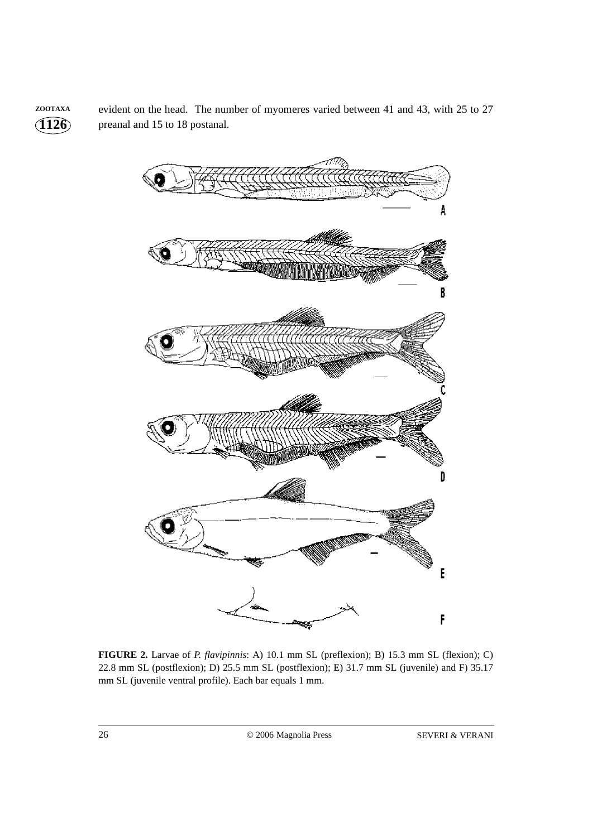**1126 ZOOTAXA** evident on the head. The number of myomeres varied between 41 and 43, with 25 to 27 preanal and 15 to 18 postanal.



**FIGURE 2.** Larvae of *P. flavipinnis*: A) 10.1 mm SL (preflexion); B) 15.3 mm SL (flexion); C) 22.8 mm SL (postflexion); D) 25.5 mm SL (postflexion); E) 31.7 mm SL (juvenile) and F) 35.17 mm SL (juvenile ventral profile). Each bar equals 1 mm.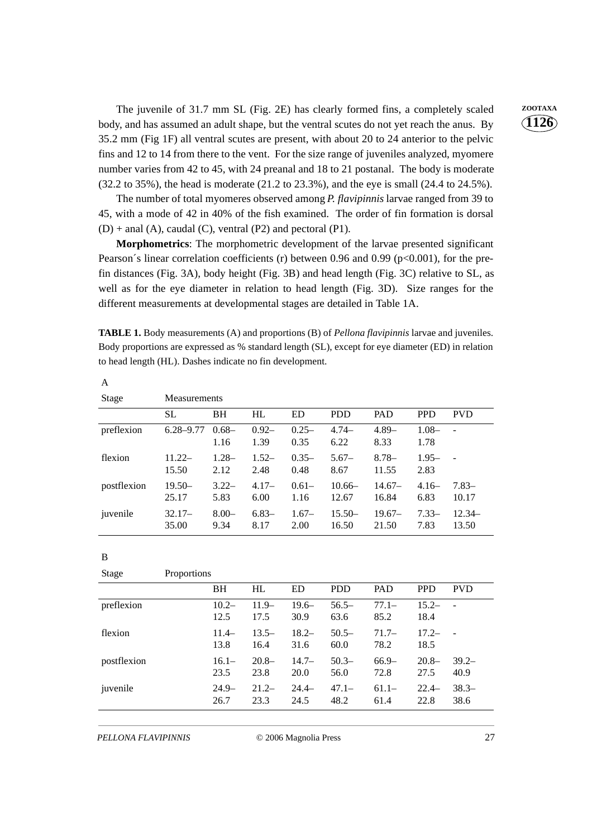The juvenile of 31.7 mm SL (Fig. 2E) has clearly formed fins, a completely scaled **ZOOTAXA** body, and has assumed an adult shape, but the ventral scutes do not yet reach the anus. By 35.2 mm (Fig 1F) all ventral scutes are present, with about 20 to 24 anterior to the pelvic fins and 12 to 14 from there to the vent. For the size range of juveniles analyzed, myomere number varies from 42 to 45, with 24 preanal and 18 to 21 postanal. The body is moderate (32.2 to 35%), the head is moderate (21.2 to 23.3%), and the eye is small (24.4 to 24.5%).

The number of total myomeres observed among *P. flavipinnis* larvae ranged from 39 to 45, with a mode of 42 in 40% of the fish examined. The order of fin formation is dorsal  $(D)$  + anal  $(A)$ , caudal  $(C)$ , ventral  $(P2)$  and pectoral  $(P1)$ .

**Morphometrics**: The morphometric development of the larvae presented significant Pearson's linear correlation coefficients (r) between 0.96 and 0.99 (p $<0.001$ ), for the prefin distances (Fig. 3A), body height (Fig. 3B) and head length (Fig. 3C) relative to SL, as well as for the eye diameter in relation to head length (Fig. 3D). Size ranges for the different measurements at developmental stages are detailed in Table 1A.

**TABLE 1.** Body measurements (A) and proportions (B) of *Pellona flavipinnis* larvae and juveniles. Body proportions are expressed as % standard length (SL), except for eye diameter (ED) in relation to head length (HL). Dashes indicate no fin development.

| Stage       | <b>Measurements</b> |                  |                  |                  |                   |                   |                  |                   |
|-------------|---------------------|------------------|------------------|------------------|-------------------|-------------------|------------------|-------------------|
|             | <b>SL</b>           | <b>BH</b>        | HL               | <b>ED</b>        | <b>PDD</b>        | <b>PAD</b>        | <b>PPD</b>       | <b>PVD</b>        |
| preflexion  | $6.28 - 9.77$       | $0.68 -$<br>1.16 | $0.92 -$<br>1.39 | $0.25 -$<br>0.35 | $4.74-$<br>6.22   | $4.89-$<br>8.33   | $1.08 -$<br>1.78 |                   |
| flexion     | $11.22-$<br>15.50   | $1.28 -$<br>2.12 | $1.52-$<br>2.48  | $0.35-$<br>0.48  | $5.67-$<br>8.67   | $8.78-$<br>11.55  | $1.95-$<br>2.83  |                   |
| postflexion | $19.50-$<br>25.17   | $3.22-$<br>5.83  | $4.17-$<br>6.00  | $0.61-$<br>1.16  | $10.66-$<br>12.67 | $14.67-$<br>16.84 | $4.16-$<br>6.83  | $7.83-$<br>10.17  |
| juvenile    | $32.17-$<br>35.00   | $8.00 -$<br>9.34 | $6.83-$<br>8.17  | $1.67-$<br>2.00  | $15.50-$<br>16.50 | $19.67-$<br>21.50 | $7.33-$<br>7.83  | $12.34-$<br>13.50 |

B

A

| <b>Stage</b> | Proportions |                  |                  |                  |                  |                  |                  |                  |
|--------------|-------------|------------------|------------------|------------------|------------------|------------------|------------------|------------------|
|              |             | <b>BH</b>        | HL               | <b>ED</b>        | <b>PDD</b>       | PAD              | <b>PPD</b>       | <b>PVD</b>       |
| preflexion   |             | $10.2 -$<br>12.5 | $11.9-$<br>17.5  | $19.6-$<br>30.9  | $56.5-$<br>63.6  | $77.1 -$<br>85.2 | $15.2 -$<br>18.4 |                  |
| flexion      |             | $11.4-$<br>13.8  | $13.5-$<br>16.4  | $18.2 -$<br>31.6 | $50.5-$<br>60.0  | $71.7-$<br>78.2  | $17.2 -$<br>18.5 |                  |
| postflexion  |             | $16.1-$<br>23.5  | $20.8 -$<br>23.8 | $14.7-$<br>20.0  | $50.3-$<br>56.0  | $66.9-$<br>72.8  | $20.8 -$<br>27.5 | $39.2 -$<br>40.9 |
| juvenile     |             | $24.9-$<br>26.7  | $21.2-$<br>23.3  | $24.4-$<br>24.5  | $47.1 -$<br>48.2 | $61.1 -$<br>61.4 | $22.4-$<br>22.8  | $38.3-$<br>38.6  |

*PELLONA FLAVIPINNIS* © 2006 Magnolia Press 27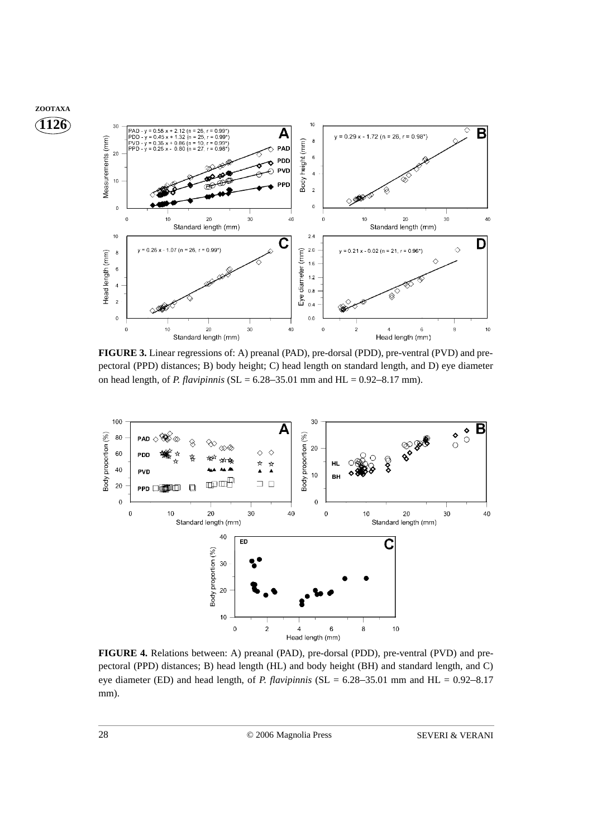

**FIGURE 3.** Linear regressions of: A) preanal (PAD), pre-dorsal (PDD), pre-ventral (PVD) and prepectoral (PPD) distances; B) body height; C) head length on standard length, and D) eye diameter on head length, of *P. flavipinnis* (SL =  $6.28 - 35.01$  mm and HL =  $0.92 - 8.17$  mm).



FIGURE 4. Relations between: A) preanal (PAD), pre-dorsal (PDD), pre-ventral (PVD) and prepectoral (PPD) distances; B) head length (HL) and body height (BH) and standard length, and C) eye diameter (ED) and head length, of *P. flavipinnis* (SL = 6.28–35.01 mm and HL = 0.92–8.17 mm).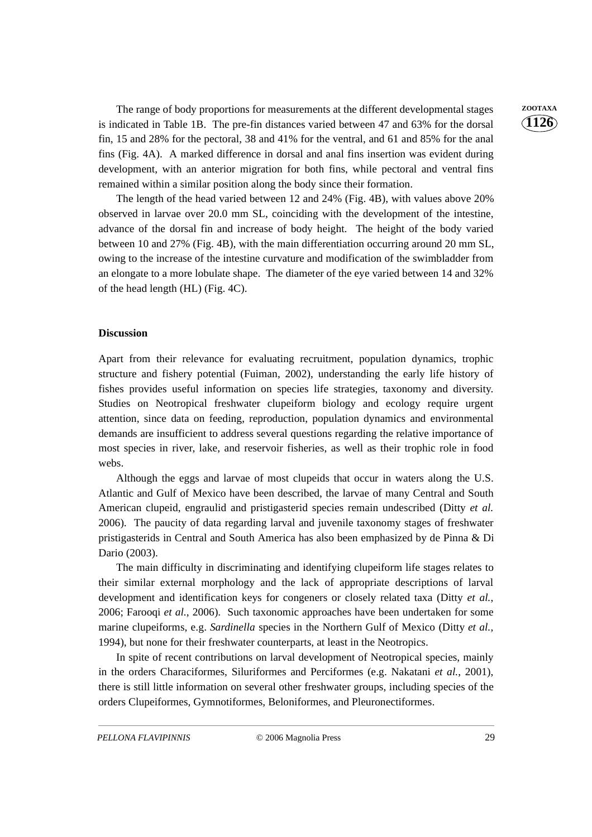The range of body proportions for measurements at the different developmental stages  $\qquad$  **ZOOTAXA** is indicated in Table 1B. The pre-fin distances varied between 47 and 63% for the dorsal fin, 15 and 28% for the pectoral, 38 and 41% for the ventral, and 61 and 85% for the anal fins (Fig. 4A). A marked difference in dorsal and anal fins insertion was evident during development, with an anterior migration for both fins, while pectoral and ventral fins remained within a similar position along the body since their formation.

The length of the head varied between 12 and 24% (Fig. 4B), with values above 20% observed in larvae over 20.0 mm SL, coinciding with the development of the intestine, advance of the dorsal fin and increase of body height. The height of the body varied between 10 and 27% (Fig. 4B), with the main differentiation occurring around 20 mm SL, owing to the increase of the intestine curvature and modification of the swimbladder from an elongate to a more lobulate shape. The diameter of the eye varied between 14 and 32% of the head length (HL) (Fig. 4C).

## **Discussion**

Apart from their relevance for evaluating recruitment, population dynamics, trophic structure and fishery potential (Fuiman, 2002), understanding the early life history of fishes provides useful information on species life strategies, taxonomy and diversity. Studies on Neotropical freshwater clupeiform biology and ecology require urgent attention, since data on feeding, reproduction, population dynamics and environmental demands are insufficient to address several questions regarding the relative importance of most species in river, lake, and reservoir fisheries, as well as their trophic role in food webs.

Although the eggs and larvae of most clupeids that occur in waters along the U.S. Atlantic and Gulf of Mexico have been described, the larvae of many Central and South American clupeid, engraulid and pristigasterid species remain undescribed (Ditty *et al.* 2006). The paucity of data regarding larval and juvenile taxonomy stages of freshwater pristigasterids in Central and South America has also been emphasized by de Pinna & Di Dario (2003).

The main difficulty in discriminating and identifying clupeiform life stages relates to their similar external morphology and the lack of appropriate descriptions of larval development and identification keys for congeners or closely related taxa (Ditty *et al.*, 2006; Farooqi *et al.*, 2006). Such taxonomic approaches have been undertaken for some marine clupeiforms, e.g. *Sardinella* species in the Northern Gulf of Mexico (Ditty *et al.*, 1994), but none for their freshwater counterparts, at least in the Neotropics.

In spite of recent contributions on larval development of Neotropical species, mainly in the orders Characiformes, Siluriformes and Perciformes (e.g. Nakatani *et al.*, 2001), there is still little information on several other freshwater groups, including species of the orders Clupeiformes, Gymnotiformes, Beloniformes, and Pleuronectiformes.

**1126**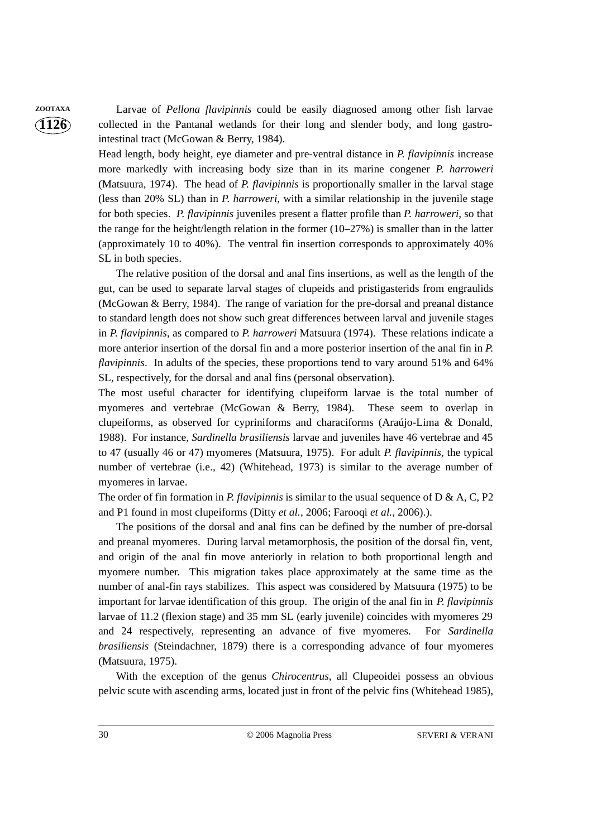**1126**

**ZOOTAXA** Larvae of *Pellona flavipinnis* could be easily diagnosed among other fish larvae collected in the Pantanal wetlands for their long and slender body, and long gastrointestinal tract (McGowan & Berry, 1984).

> Head length, body height, eye diameter and pre-ventral distance in *P. flavipinnis* increase more markedly with increasing body size than in its marine congener *P. harroweri* (Matsuura, 1974). The head of *P. flavipinnis* is proportionally smaller in the larval stage (less than 20% SL) than in *P. harroweri*, with a similar relationship in the juvenile stage for both species. *P. flavipinnis* juveniles present a flatter profile than *P. harroweri*, so that the range for the height/length relation in the former  $(10-27%)$  is smaller than in the latter (approximately 10 to 40%). The ventral fin insertion corresponds to approximately 40% SL in both species.

> The relative position of the dorsal and anal fins insertions, as well as the length of the gut, can be used to separate larval stages of clupeids and pristigasterids from engraulids (McGowan & Berry, 1984).The range of variation for the pre-dorsal and preanal distance to standard length does not show such great differences between larval and juvenile stages in *P. flavipinnis,* as compared to *P. harroweri* Matsuura (1974). These relations indicate a more anterior insertion of the dorsal fin and a more posterior insertion of the anal fin in *P. flavipinnis*. In adults of the species, these proportions tend to vary around 51% and 64% SL, respectively, for the dorsal and anal fins (personal observation).

> The most useful character for identifying clupeiform larvae is the total number of myomeres and vertebrae (McGowan & Berry, 1984). These seem to overlap in clupeiforms, as observed for cypriniforms and characiforms (Araújo-Lima & Donald, 1988). For instance, *Sardinella brasiliensis* larvae and juveniles have 46 vertebrae and 45 to 47 (usually 46 or 47) myomeres (Matsuura, 1975). For adult *P. flavipinnis*, the typical number of vertebrae (i.e., 42) (Whitehead, 1973) is similar to the average number of myomeres in larvae.

> The order of fin formation in *P. flavipinnis* is similar to the usual sequence of D & A, C, P2 and P1 found in most clupeiforms (Ditty *et al.*, 2006; Farooqi *et al.*, 2006).).

> The positions of the dorsal and anal fins can be defined by the number of pre-dorsal and preanal myomeres. During larval metamorphosis, the position of the dorsal fin, vent, and origin of the anal fin move anteriorly in relation to both proportional length and myomere number. This migration takes place approximately at the same time as the number of anal-fin rays stabilizes. This aspect was considered by Matsuura (1975) to be important for larvae identification of this group. The origin of the anal fin in *P. flavipinnis* larvae of 11.2 (flexion stage) and 35 mm SL (early juvenile) coincides with myomeres 29 and 24 respectively, representing an advance of five myomeres. For *Sardinella brasiliensis* (Steindachner, 1879) there is a corresponding advance of four myomeres (Matsuura, 1975).

> With the exception of the genus *Chirocentrus*, all Clupeoidei possess an obvious pelvic scute with ascending arms, located just in front of the pelvic fins (Whitehead 1985),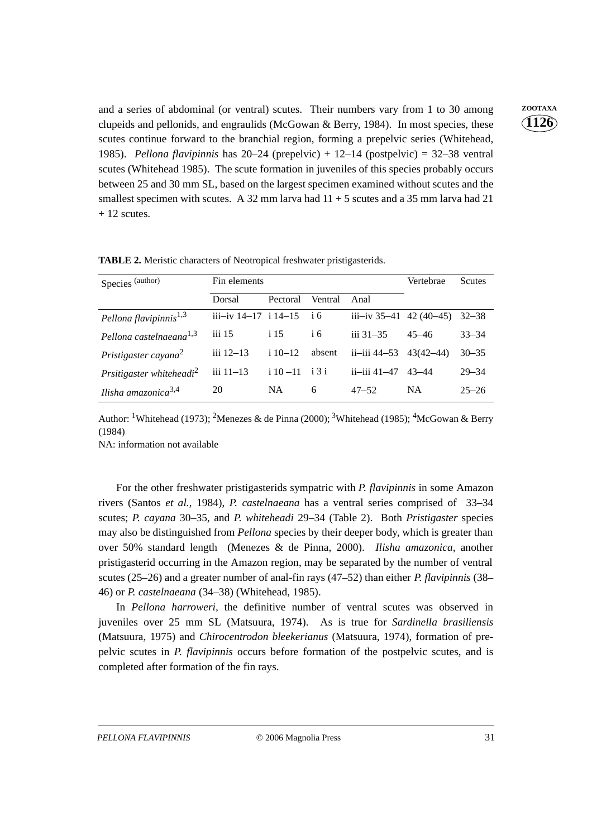and a series of abdominal (or ventral) scutes. Their numbers vary from 1 to 30 among **ZOOTAXA** clupeids and pellonids, and engraulids (McGowan & Berry, 1984). In most species, these scutes continue forward to the branchial region, forming a prepelvic series (Whitehead, 1985). *Pellona flavipinnis* has 20–24 (prepelvic) + 12–14 (postpelvic) = 32–38 ventral scutes (Whitehead 1985). The scute formation in juveniles of this species probably occurs between 25 and 30 mm SL, based on the largest specimen examined without scutes and the smallest specimen with scutes. A 32 mm larva had  $11 + 5$  scutes and a 35 mm larva had 21  $+ 12$  scutes.

**1126**

| Species (author)                     | Fin elements             | Vertebrae   | Scutes        |                             |           |           |
|--------------------------------------|--------------------------|-------------|---------------|-----------------------------|-----------|-----------|
|                                      | Dorsal                   | Pectoral    | Ventral       | Anal                        |           |           |
| Pellona flavipinnis <sup>1,3</sup>   | iii-iv $14-17$ i $14-15$ |             | $\frac{1}{6}$ | iii-iv $35-41$ 42 (40-45)   |           | $32 - 38$ |
| Pellona castelnaeana <sup>1,3</sup>  | $\overline{111}$ 15      | i 15        | i 6           | $\frac{1}{111}$ 31–35       | $45 - 46$ | $33 - 34$ |
| Pristigaster cayana $^2$             | $iii 12 - 13$            | $110 - 12$  | absent        | ii-iii 44–53 $\,$ 43(42–44) |           | $30 - 35$ |
| Prsitigaster whiteheadi <sup>2</sup> | $iii 11 - 13$            | $i 10 - 11$ | i 3 i         | ii—iii 41—47                | 43–44     | $29 - 34$ |
| Ilisha amazonica $3,4$               | 20                       | <b>NA</b>   | 6             | $47 - 52$                   | <b>NA</b> | $25 - 26$ |

**TABLE 2.** Meristic characters of Neotropical freshwater pristigasterids.

Author: <sup>1</sup>Whitehead (1973); <sup>2</sup>Menezes & de Pinna (2000); <sup>3</sup>Whitehead (1985); <sup>4</sup>McGowan & Berry (1984)

NA: information not available

For the other freshwater pristigasterids sympatric with *P. flavipinnis* in some Amazon rivers (Santos *et al.*, 1984), *P. castelnaeana* has a ventral series comprised of 33–34 scutes; *P. cayana* 30–35, and *P. whiteheadi* 29–34 (Table 2). Both *Pristigaster* species may also be distinguished from *Pellona* species by their deeper body, which is greater than over 50% standard length (Menezes & de Pinna, 2000). *Ilisha amazonica,* another pristigasterid occurring in the Amazon region, may be separated by the number of ventral scutes (25–26) and a greater number of anal-fin rays (47–52) than either *P. flavipinnis* (38– 46) or *P. castelnaeana* (34–38) (Whitehead, 1985).

In *Pellona harroweri,* the definitive number of ventral scutes was observed in juveniles over 25 mm SL (Matsuura, 1974). As is true for *Sardinella brasiliensis* (Matsuura, 1975) and *Chirocentrodon bleekerianus* (Matsuura, 1974), formation of prepelvic scutes in *P. flavipinnis* occurs before formation of the postpelvic scutes, and is completed after formation of the fin rays.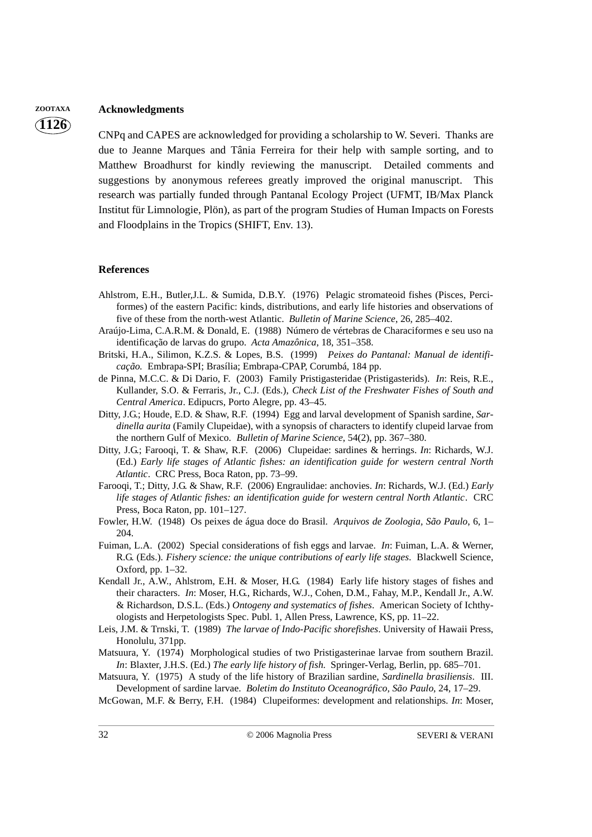# **ZOOTAXA Acknowledgments**

**1126**

CNPq and CAPES are acknowledged for providing a scholarship to W. Severi. Thanks are due to Jeanne Marques and Tânia Ferreira for their help with sample sorting, and to Matthew Broadhurst for kindly reviewing the manuscript. Detailed comments and suggestions by anonymous referees greatly improved the original manuscript. This research was partially funded through Pantanal Ecology Project (UFMT, IB/Max Planck Institut für Limnologie, Plön), as part of the program Studies of Human Impacts on Forests and Floodplains in the Tropics (SHIFT, Env. 13).

#### **References**

- Ahlstrom, E.H., Butler,J.L. & Sumida, D.B.Y. (1976) Pelagic stromateoid fishes (Pisces, Perciformes) of the eastern Pacific: kinds, distributions, and early life histories and observations of five of these from the north-west Atlantic. *Bulletin of Marine Science*, 26, 285–402.
- Araújo-Lima, C.A.R.M. & Donald, E. (1988) Número de vértebras de Characiformes e seu uso na identificação de larvas do grupo. *Acta Amazônica*, 18, 351–358.
- Britski, H.A., Silimon, K.Z.S. & Lopes, B.S. (1999) *Peixes do Pantanal: Manual de identificação.* Embrapa-SPI; Brasília; Embrapa-CPAP, Corumbá, 184 pp.
- de Pinna, M.C.C. & Di Dario, F. (2003) Family Pristigasteridae (Pristigasterids). *In*: Reis, R.E., Kullander, S.O. & Ferraris, Jr., C.J. (Eds.), *Check List of the Freshwater Fishes of South and Central America*. Edipucrs, Porto Alegre, pp. 43–45.
- Ditty, J.G.; Houde, E.D. & Shaw, R.F. (1994) Egg and larval development of Spanish sardine, *Sardinella aurita* (Family Clupeidae), with a synopsis of characters to identify clupeid larvae from the northern Gulf of Mexico. *Bulletin of Marine Science*, 54(2), pp. 367–380.
- Ditty, J.G.; Farooqi, T. & Shaw, R.F. (2006) Clupeidae: sardines & herrings. *In*: Richards, W.J. (Ed.) *Early life stages of Atlantic fishes: an identification guide for western central North Atlantic*. CRC Press, Boca Raton, pp. 73–99.
- Farooqi, T.; Ditty, J.G. & Shaw, R.F. (2006) Engraulidae: anchovies. *In*: Richards, W.J. (Ed.) *Early life stages of Atlantic fishes: an identification guide for western central North Atlantic*. CRC Press, Boca Raton, pp. 101–127.
- Fowler, H.W. (1948) Os peixes de água doce do Brasil. *Arquivos de Zoologia, São Paulo*, 6, 1– 204.
- Fuiman, L.A. (2002) Special considerations of fish eggs and larvae. *In*: Fuiman, L.A. & Werner, R.G. (Eds.). *Fishery science: the unique contributions of early life stages*. Blackwell Science, Oxford, pp. 1–32.
- Kendall Jr., A.W., Ahlstrom, E.H. & Moser, H.G. (1984) Early life history stages of fishes and their characters. *In*: Moser, H.G., Richards, W.J., Cohen, D.M., Fahay, M.P., Kendall Jr., A.W. & Richardson, D.S.L. (Eds.) *Ontogeny and systematics of fishes*. American Society of Ichthyologists and Herpetologists Spec. Publ. 1, Allen Press, Lawrence, KS, pp. 11–22.
- Leis, J.M. & Trnski, T. (1989) *The larvae of Indo-Pacific shorefishes*. University of Hawaii Press, Honolulu, 371pp.
- Matsuura, Y. (1974) Morphological studies of two Pristigasterinae larvae from southern Brazil. *In*: Blaxter, J.H.S. (Ed.) *The early life history of fish*. Springer-Verlag, Berlin, pp. 685–701.
- Matsuura, Y. (1975) A study of the life history of Brazilian sardine, *Sardinella brasiliensis*. III. Development of sardine larvae. *Boletim do Instituto Oceanográfico, São Paulo*, 24, 17–29.
- McGowan, M.F. & Berry, F.H. (1984) Clupeiformes: development and relationships. *In*: Moser,